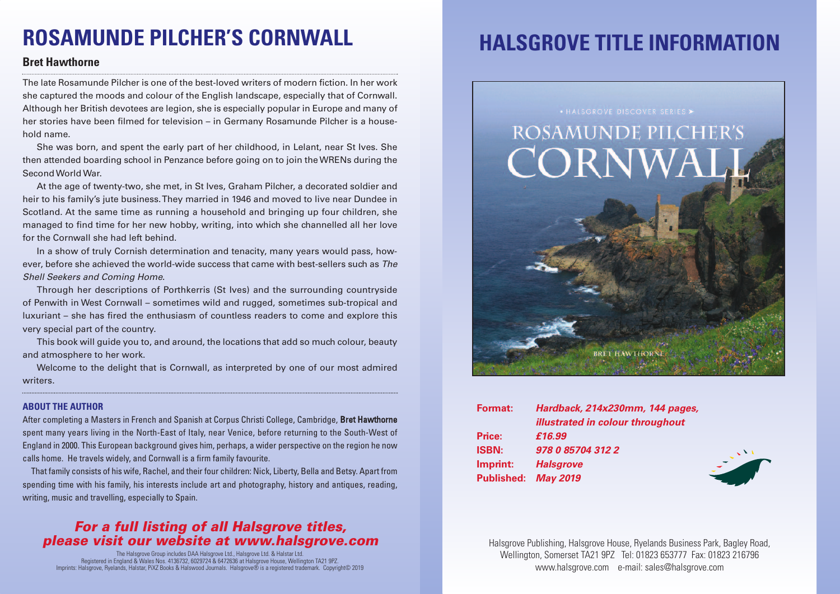# **ROSAMUNDE PILCHER'S CORNWALL**

### **Bret Hawthorne**

The late Rosamunde Pilcher is one of the best-loved writers of modern fiction. In her work she captured the moods and colour of the English landscape, especially that of Cornwall. Although her British devotees are legion, she is especially popular in Europe and many of her stories have been filmed for television – in Germany Rosamunde Pilcher is a household name.

She was born, and spent the early part of her childhood, in Lelant, near St Ives. She then attended boarding school in Penzance before going on to join theWRENs during the Second World War.

At the age of twenty-two, she met, in St Ives, Graham Pilcher, a decorated soldier and heir to his family's jute business.They married in 1946 and moved to live near Dundee in Scotland. At the same time as running a household and bringing up four children, she managed to find time for her new hobby, writing, into which she channelled all her love for the Cornwall she had left behind.

In a show of truly Cornish determination and tenacity, many years would pass, however, before she achieved the world-wide success that came with best-sellers such as *The Shell Seekers and Coming Home*.

Through her descriptions of Porthkerris (St Ives) and the surrounding countryside of Penwith in West Cornwall – sometimes wild and rugged, sometimes sub-tropical and luxuriant – she has fired the enthusiasm of countless readers to come and explore this very special part of the country.

This book will guide you to, and around, the locations that add so much colour, beauty and atmosphere to her work.

Welcome to the delight that is Cornwall, as interpreted by one of our most admired writers.

#### **ABOUT THE AUTHOR**

After completing a Masters in French and Spanish at Corpus Christi College, Cambridge, Bret Hawthorne spent many years living in the North-East of Italy, near Venice, before returning to the South-West of England in 2000. This European background gives him, perhaps, a wider perspective on the region he now calls home. He travels widely, and Cornwall is a firm family favourite.

That family consists of his wife, Rachel, and their four children: Nick, Liberty, Bella and Betsy. Apart from spending time with his family, his interests include art and photography, history and antiques, reading, writing, music and travelling, especially to Spain.

### *For a full listing of all Halsgrove titles, please visit our website at www.halsgrove.com*

The Halsgrove Group includes DAA Halsgrove Ltd., Halsgrove Ltd. & Halstar Ltd. Registered in England & Wales Nos. 4136732, 6029724 & 6472636 at Halsgrove House, Wellington TA21 9PZ. Imprints: Halsgrove, Ryelands, Halstar, PiXZ Books & Halswood Journals. Halsgrove® is a registered trademark. Copyright© 2019

## **HALSGROVE TITLE INFORMATION**



| Format:             | Hardback, 214x230mm, 144 pages,         |
|---------------------|-----------------------------------------|
|                     | <b>illustrated in colour throughout</b> |
| Price:              | £16.99                                  |
| <b>ISBN:</b>        | 978 0 85704 312 2                       |
| Imprint:            | <b>Halsgrove</b>                        |
| Published: May 2019 |                                         |

Halsgrove Publishing, Halsgrove House, Ryelands Business Park, Bagley Road, Wellington, Somerset TA21 9PZ Tel: 01823 653777 Fax: 01823 216796 www.halsgrove.com e-mail: sales@halsgrove.com